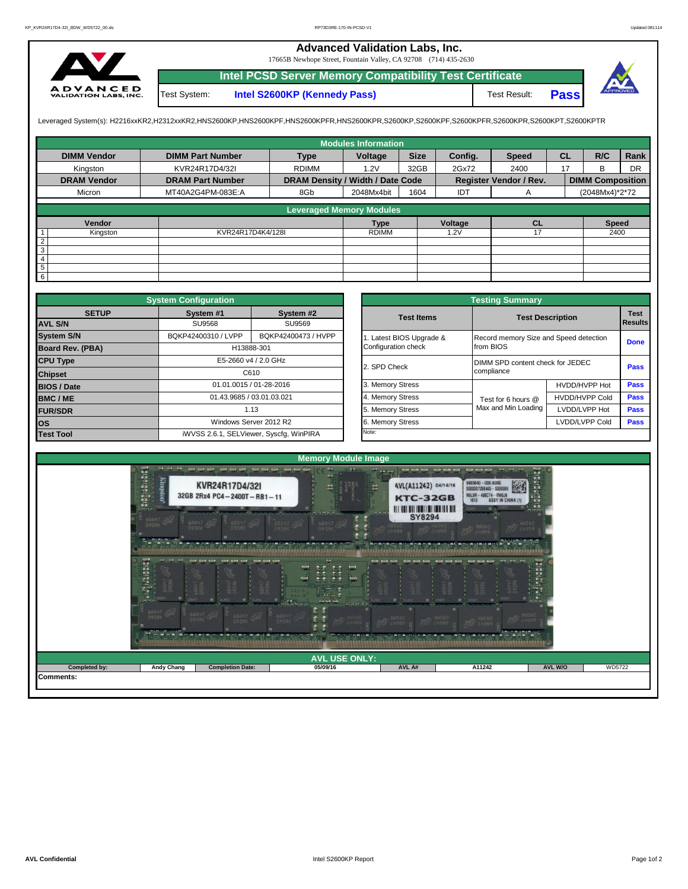## **Advanced Validation Labs, Inc.**

17665B Newhope Street, Fountain Valley, CA 92708 (714) 435-2630



Test System: **Intel S2600KP (Kennedy Pass)** Test Result: **Intel PCSD Server Memory Compatibility Test Certificate Pass**



Leveraged System(s): H2216xxKR2,H2312xxKR2,HNS2600KP,HNS2600KPF,HNS2600KPFR,HNS2600KPR,S2600KP,S2600KPF,S2600KPFR,S2600KPR,S2600KPT,S2600KPTR

|                    |                         |                                  | <b>Modules Information</b> |             |         |                        |           |                         |           |
|--------------------|-------------------------|----------------------------------|----------------------------|-------------|---------|------------------------|-----------|-------------------------|-----------|
| <b>DIMM Vendor</b> | <b>DIMM Part Number</b> | <b>Type</b>                      | Voltage                    | <b>Size</b> | Config. | <b>Speed</b>           | <b>CL</b> | R/C                     | Rank      |
| Kingston           | KVR24R17D4/32I          | <b>RDIMM</b>                     | 1.2V                       | 32GB        | 2Gx72   | 2400                   | 17        | <sub>B</sub>            | <b>DR</b> |
| <b>DRAM Vendor</b> | <b>DRAM Part Number</b> | DRAM Density / Width / Date Code |                            |             |         | Register Vendor / Rev. |           | <b>DIMM Composition</b> |           |
| Micron             | MT40A2G4PM-083E:A       | 8Gb                              | 2048Mx4bit                 | 1604        | IDT     | A                      |           | (2048Mx4)*2*72          |           |
|                    |                         | <b>Leveraged Memory Modules</b>  |                            |             |         |                        |           |                         |           |
|                    |                         |                                  |                            |             |         |                        |           |                         |           |
| Vendor             |                         |                                  | <b>Type</b>                |             | Voltage | <b>CL</b>              |           | <b>Speed</b>            |           |
| Kingston           | KVR24R17D4K4/128I       |                                  | <b>RDIMM</b>               |             | 1.2V    |                        |           | 2400                    |           |
| $\overline{2}$     |                         |                                  |                            |             |         |                        |           |                         |           |
| 3                  |                         |                                  |                            |             |         |                        |           |                         |           |
| $\overline{4}$     |                         |                                  |                            |             |         |                        |           |                         |           |
| $\overline{5}$     |                         |                                  |                            |             |         |                        |           |                         |           |
| $6\overline{6}$    |                         |                                  |                            |             |         |                        |           |                         |           |

|                         | <b>System Configuration</b> |                                         | <b>Testing Summary</b> |                                        |                         |             |  |  |  |  |  |  |
|-------------------------|-----------------------------|-----------------------------------------|------------------------|----------------------------------------|-------------------------|-------------|--|--|--|--|--|--|
| <b>SETUP</b>            | System #1                   | System #2                               | <b>Test Items</b>      |                                        | <b>Test Description</b> | <b>Test</b> |  |  |  |  |  |  |
| <b>AVL S/N</b>          | SU9568                      | SU9569                                  |                        |                                        | <b>Results</b>          |             |  |  |  |  |  |  |
| <b>System S/N</b>       | BQKP42400310 / LVPP         | BQKP42400473 / HVPP                     | Latest BIOS Upgrade &  | Record memory Size and Speed detection | <b>Done</b>             |             |  |  |  |  |  |  |
| <b>Board Rev. (PBA)</b> |                             | H13888-301                              | Configuration check    | from BIOS                              |                         |             |  |  |  |  |  |  |
| <b>CPU Type</b>         |                             | E5-2660 v4 / 2.0 GHz                    | 2. SPD Check           | DIMM SPD content check for JEDEC       | Pass                    |             |  |  |  |  |  |  |
| <b>Chipset</b>          |                             | C610                                    |                        | compliance                             |                         |             |  |  |  |  |  |  |
| <b>BIOS / Date</b>      |                             | 01.01.0015 / 01-28-2016                 | 3. Memory Stress       |                                        | HVDD/HVPP Hot           | Pass        |  |  |  |  |  |  |
| <b>BMC/ME</b>           |                             | 01.43.9685 / 03.01.03.021               | 4. Memory Stress       | Test for 6 hours @                     | <b>HVDD/HVPP Cold</b>   | <b>Pass</b> |  |  |  |  |  |  |
| <b>FUR/SDR</b>          |                             | 1.13                                    | 5. Memory Stress       | Max and Min Loading                    | LVDD/LVPP Hot           | <b>Pass</b> |  |  |  |  |  |  |
| <b>los</b>              |                             | Windows Server 2012 R2                  | 6. Memory Stress       |                                        | LVDD/LVPP Cold          | <b>Pass</b> |  |  |  |  |  |  |
| <b>Test Tool</b>        |                             | iWVSS 2.6.1, SELViewer, Syscfq, WinPIRA | Note:                  |                                        |                         |             |  |  |  |  |  |  |

|              | <b>System Configuration</b> |                                         | <b>Testing Summary</b> |                                        |                |                |  |  |  |  |  |
|--------------|-----------------------------|-----------------------------------------|------------------------|----------------------------------------|----------------|----------------|--|--|--|--|--|
| <b>SETUP</b> | System #1                   | System #2                               | <b>Test Items</b>      | <b>Test Description</b>                |                | <b>Test</b>    |  |  |  |  |  |
|              | <b>SU9568</b>               | SU9569                                  |                        |                                        |                | <b>Results</b> |  |  |  |  |  |
|              | BQKP42400310 / LVPP         | BQKP42400473 / HVPP                     | Latest BIOS Upgrade &  | Record memory Size and Speed detection |                | <b>Done</b>    |  |  |  |  |  |
| PBA)         |                             | H13888-301                              | Configuration check    | from BIOS                              |                |                |  |  |  |  |  |
|              |                             | E5-2660 v4 / 2.0 GHz                    | 2. SPD Check           | DIMM SPD content check for JEDEC       | Pass           |                |  |  |  |  |  |
|              |                             | C610                                    |                        | compliance                             |                |                |  |  |  |  |  |
|              |                             | 01.01.0015 / 01-28-2016                 | 3. Memory Stress       |                                        | HVDD/HVPP Hot  | Pass           |  |  |  |  |  |
|              |                             | 01.43.9685 / 03.01.03.021               | 4. Memory Stress       | Test for 6 hours @                     | HVDD/HVPP Cold | Pass           |  |  |  |  |  |
|              |                             | 1.13                                    | 5. Memory Stress       | Max and Min Loading                    | LVDD/LVPP Hot  | Pass           |  |  |  |  |  |
|              |                             | Windows Server 2012 R2                  | 6. Memory Stress       |                                        | LVDD/LVPP Cold | <b>Pass</b>    |  |  |  |  |  |
|              |                             | iWVSS 2.6.1, SELViewer, Syscfq, WinPIRA | Note:                  |                                        |                |                |  |  |  |  |  |